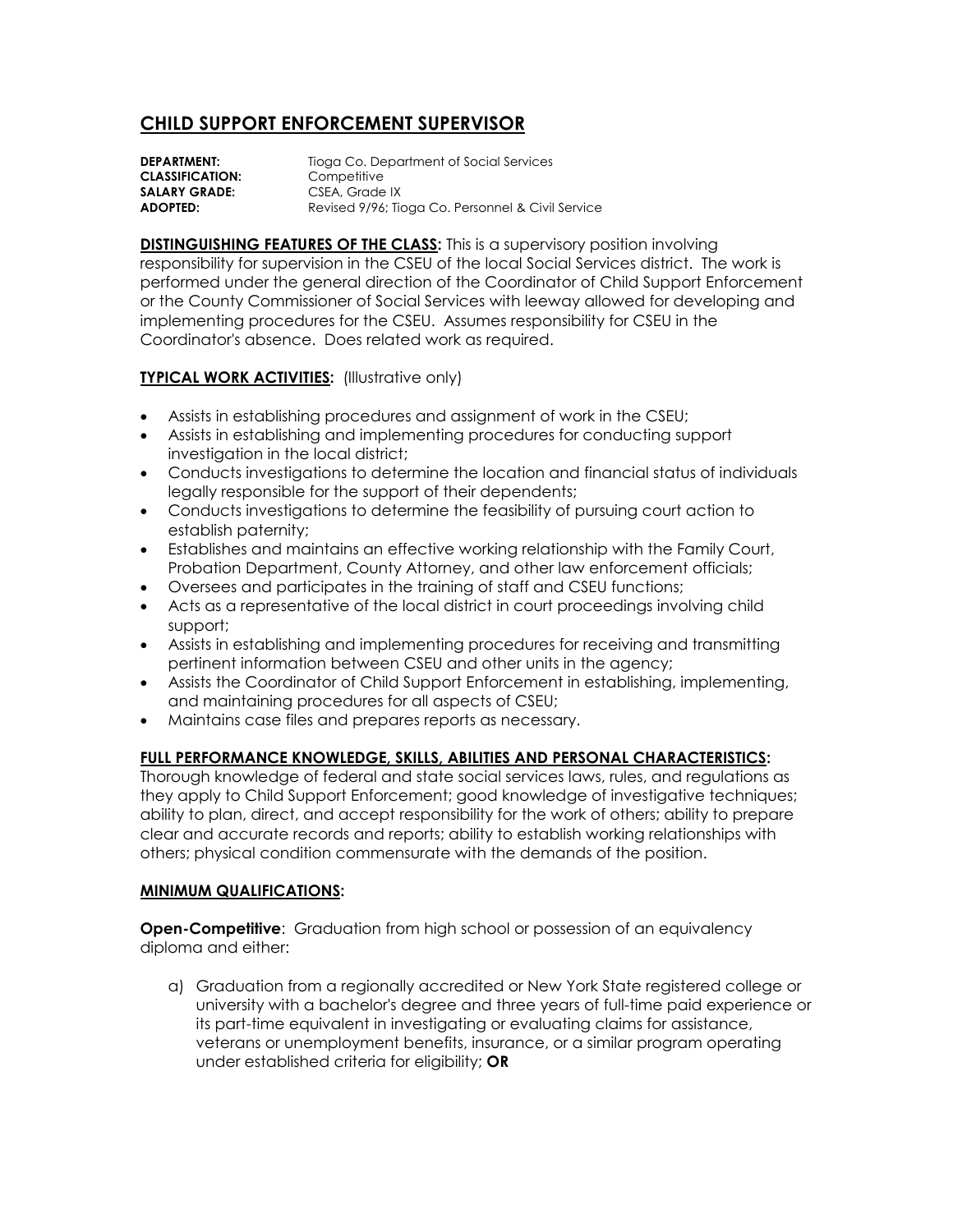# **CHILD SUPPORT ENFORCEMENT SUPERVISOR**

**DEPARTMENT:** Tioga Co. Department of Social Services **CLASSIFICATION:** Competitive **SALARY GRADE:** CSEA, Grade IX **ADOPTED:** Revised 9/96; Tioga Co. Personnel & Civil Service

**DISTINGUISHING FEATURES OF THE CLASS:** This is a supervisory position involving responsibility for supervision in the CSEU of the local Social Services district. The work is performed under the general direction of the Coordinator of Child Support Enforcement or the County Commissioner of Social Services with leeway allowed for developing and implementing procedures for the CSEU. Assumes responsibility for CSEU in the Coordinator's absence. Does related work as required.

## **TYPICAL WORK ACTIVITIES: (Illustrative only)**

- Assists in establishing procedures and assignment of work in the CSEU;
- Assists in establishing and implementing procedures for conducting support investigation in the local district;
- Conducts investigations to determine the location and financial status of individuals legally responsible for the support of their dependents;
- Conducts investigations to determine the feasibility of pursuing court action to establish paternity;
- Establishes and maintains an effective working relationship with the Family Court, Probation Department, County Attorney, and other law enforcement officials;
- Oversees and participates in the training of staff and CSEU functions;
- Acts as a representative of the local district in court proceedings involving child support;
- Assists in establishing and implementing procedures for receiving and transmitting pertinent information between CSEU and other units in the agency;
- Assists the Coordinator of Child Support Enforcement in establishing, implementing, and maintaining procedures for all aspects of CSEU;
- Maintains case files and prepares reports as necessary.

## **FULL PERFORMANCE KNOWLEDGE, SKILLS, ABILITIES AND PERSONAL CHARACTERISTICS:**

Thorough knowledge of federal and state social services laws, rules, and regulations as they apply to Child Support Enforcement; good knowledge of investigative techniques; ability to plan, direct, and accept responsibility for the work of others; ability to prepare clear and accurate records and reports; ability to establish working relationships with others; physical condition commensurate with the demands of the position.

#### **MINIMUM QUALIFICATIONS:**

**Open-Competitive**: Graduation from high school or possession of an equivalency diploma and either:

a) Graduation from a regionally accredited or New York State registered college or university with a bachelor's degree and three years of full-time paid experience or its part-time equivalent in investigating or evaluating claims for assistance, veterans or unemployment benefits, insurance, or a similar program operating under established criteria for eligibility; **OR**